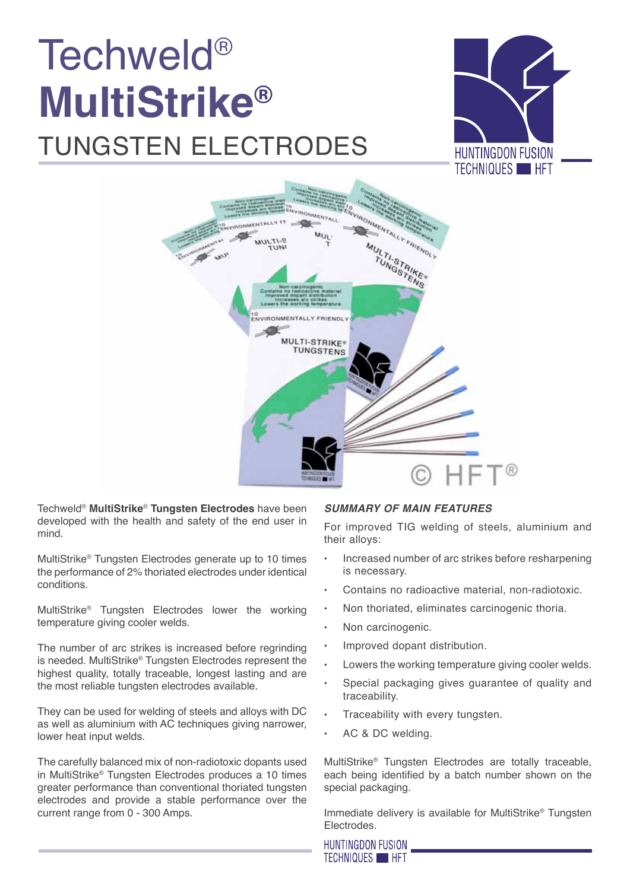## Techweld® **MultiStrike®**  tungsten electrodes





Techweld® **MultiStrike**® **Tungsten Electrodes** have been developed with the health and safety of the end user in mind.

MultiStrike® Tungsten Electrodes generate up to 10 times the performance of 2% thoriated electrodes under identical conditions.

MultiStrike® Tungsten Electrodes lower the working temperature giving cooler welds.

The number of arc strikes is increased before regrinding is needed. MultiStrike® Tungsten Electrodes represent the highest quality, totally traceable, longest lasting and are the most reliable tungsten electrodes available.

They can be used for welding of steels and alloys with DC as well as aluminium with AC techniques giving narrower. lower heat input welds.

The carefully balanced mix of non-radiotoxic dopants used in MultiStrike® Tungsten Electrodes produces a 10 times greater performance than conventional thoriated tungsten electrodes and provide a stable performance over the current range from 0 - 300 Amps.

#### *Summary of Main Features*

For improved TIG welding of steels, aluminium and their alloys:

- Increased number of arc strikes before resharpening is necessary.
- Contains no radioactive material, non-radiotoxic.
- Non thoriated, eliminates carcinogenic thoria.
- Non carcinogenic.
- Improved dopant distribution.
- Lowers the working temperature giving cooler welds.
- Special packaging gives guarantee of quality and traceability.
- Traceability with every tungsten.
- AC & DC welding.

MultiStrike® Tungsten Electrodes are totally traceable, each being identified by a batch number shown on the special packaging.

Immediate delivery is available for MultiStrike® Tungsten Electrodes.

HUNTINGDON FUSION **TECHNIQUES HET**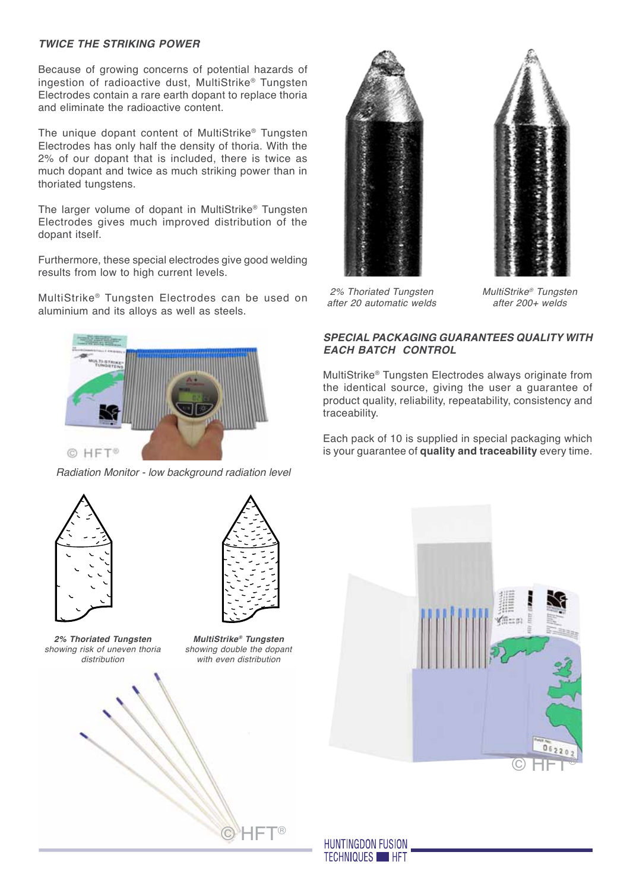#### *Twice the Striking Power*

Because of growing concerns of potential hazards of ingestion of radioactive dust, MultiStrike® Tungsten Electrodes contain a rare earth dopant to replace thoria and eliminate the radioactive content.

The unique dopant content of MultiStrike® Tungsten Electrodes has only half the density of thoria. With the 2% of our dopant that is included, there is twice as much dopant and twice as much striking power than in thoriated tungstens.

The larger volume of dopant in MultiStrike® Tungsten Electrodes gives much improved distribution of the dopant itself.

Furthermore, these special electrodes give good welding results from low to high current levels.

MultiStrike® Tungsten Electrodes can be used on aluminium and its alloys as well as steels.



*Radiation Monitor - low background radiation level*



*2% Thoriated Tungsten showing risk of uneven thoria distribution*



*MultiStrike® Tungsten showing double the dopant with even distribution*







*2% Thoriated Tungsten after 20 automatic welds*

*MultiStrike® Tungsten after 200+ welds*

#### *Special packaging guarantees quality with each batch control*

MultiStrike® Tungsten Electrodes always originate from the identical source, giving the user a guarantee of product quality, reliability, repeatability, consistency and traceability.

Each pack of 10 is supplied in special packaging which is your guarantee of **quality and traceability** every time.



**HUNTINGDON FUSION TECHNIQUES HET**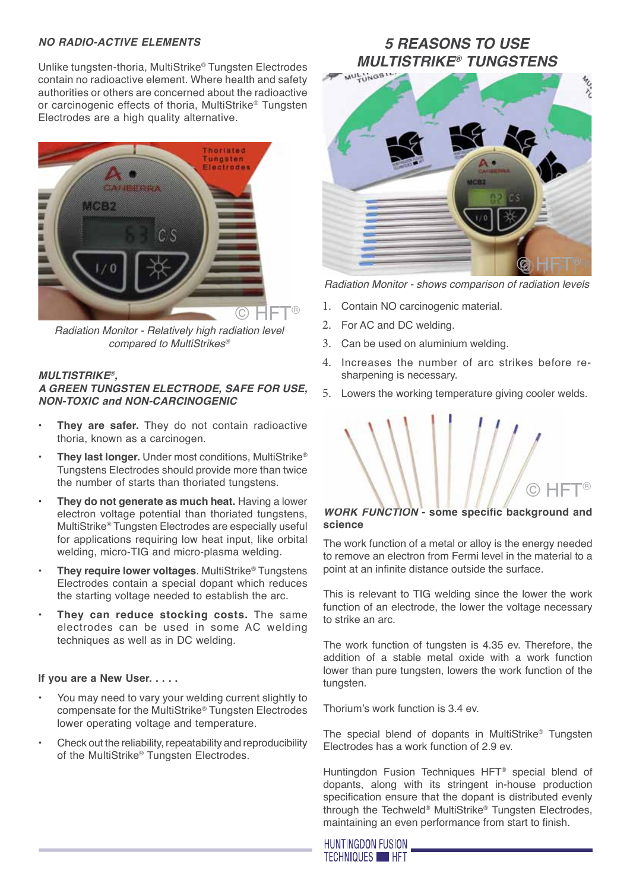#### *No Radio-Active Elements*

Unlike tungsten-thoria, MultiStrike® Tungsten Electrodes contain no radioactive element. Where health and safety authorities or others are concerned about the radioactive or carcinogenic effects of thoria, MultiStrike® Tungsten Electrodes are a high quality alternative.



*Radiation Monitor - Relatively high radiation level compared to MultiStrikes®*

#### *MultiStrike®,*

#### *a green Tungsten Electrode, safe for use, non-toxic and non-carcinogenic*

- **They are safer.** They do not contain radioactive thoria, known as a carcinogen.
- **• They last longer.** Under most conditions, MultiStrike® Tungstens Electrodes should provide more than twice the number of starts than thoriated tungstens.
- **• They do not generate as much heat.** Having a lower electron voltage potential than thoriated tungstens, MultiStrike® Tungsten Electrodes are especially useful for applications requiring low heat input, like orbital welding, micro-TIG and micro-plasma welding.
- **• They require lower voltages**. MultiStrike® Tungstens Electrodes contain a special dopant which reduces the starting voltage needed to establish the arc.
- **• They can reduce stocking costs.** The same electrodes can be used in some AC welding techniques as well as in DC welding.

#### **If you are a New User. . . . .**

- You may need to vary your welding current slightly to compensate for the MultiStrike® Tungsten Electrodes lower operating voltage and temperature.
- Check out the reliability, repeatability and reproducibility of the MultiStrike® Tungsten Electrodes.

### *5 REASONS TO USE MULTISTRIKE® TUNGSTENS*



*Radiation Monitor - shows comparison of radiation levels* 

- 1. Contain NO carcinogenic material.
- 2. For AC and DC welding.
- 3. Can be used on aluminium welding.
- 4. Increases the number of arc strikes before resharpening is necessary.
- 5. Lowers the working temperature giving cooler welds.

# $\odot$  HFT®

#### *Work function* **- some specific background and science**

The work function of a metal or alloy is the energy needed to remove an electron from Fermi level in the material to a point at an infinite distance outside the surface.

This is relevant to TIG welding since the lower the work function of an electrode, the lower the voltage necessary to strike an arc.

The work function of tungsten is 4.35 ev. Therefore, the addition of a stable metal oxide with a work function lower than pure tungsten, lowers the work function of the tungsten.

Thorium's work function is 3.4 ev.

The special blend of dopants in MultiStrike® Tungsten Electrodes has a work function of 2.9 ev.

Huntingdon Fusion Techniques HFT® special blend of dopants, along with its stringent in-house production specification ensure that the dopant is distributed evenly through the Techweld® MultiStrike® Tungsten Electrodes, maintaining an even performance from start to finish.

**HUNTINGDON FUSION TECHNIQUES HET**